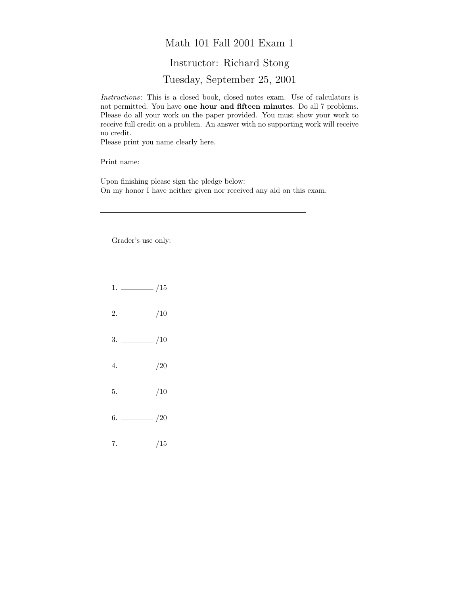## Math 101 Fall 2001 Exam 1 Instructor: Richard Stong Tuesday, September 25, 2001

Instructions: This is a closed book, closed notes exam. Use of calculators is not permitted. You have one hour and fifteen minutes. Do all 7 problems. Please do all your work on the paper provided. You must show your work to receive full credit on a problem. An answer with no supporting work will receive no credit.

Please print you name clearly here.

Print name:  $\equiv$ 

Upon finishing please sign the pledge below: On my honor I have neither given nor received any aid on this exam.

Grader's use only:

- $1. \ \_ \ \_ \ /15$
- $2. \ \frac{\ }{\ }$  /10
- $3. \ \_$ /10
- $4. \ \_ 20$
- $5. \ \_$ /10
- $6.$  /20
- $7. \ \_$ /15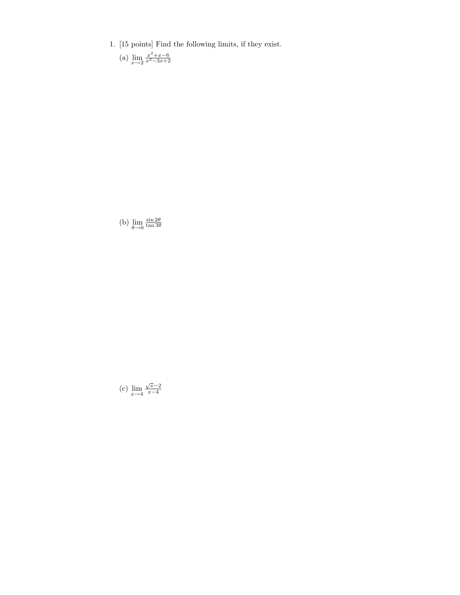1. [15 points] Find the following limits, if they exist.

(a)  $\lim_{x \to 2} \frac{x^2 + x - 6}{x^2 - 3x + 2}$ 

(b)  $\lim_{\theta \to 0}$  $\frac{\sin 2\theta}{\tan 3\theta}$ 

(c)  $\lim_{x \to 4} \frac{\sqrt{x-2}}{x-4}$  $x-4$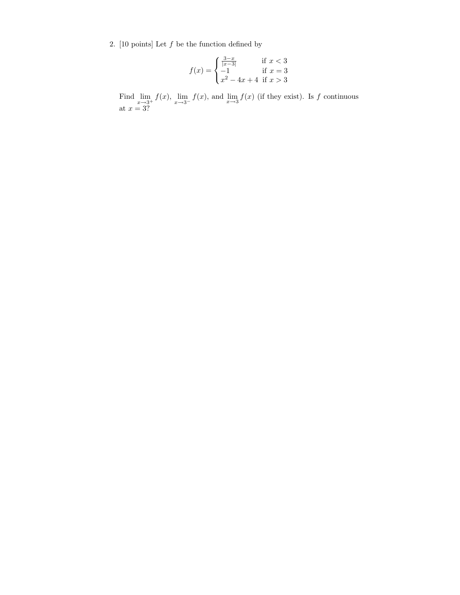2. [10 points] Let  $f$  be the function defined by

$$
f(x) = \begin{cases} \frac{3-x}{|x-3|} & \text{if } x < 3\\ -1 & \text{if } x = 3\\ x^2 - 4x + 4 & \text{if } x > 3 \end{cases}
$$

Find  $\lim_{x\to 3^+} f(x)$ ,  $\lim_{x\to 3^-} f(x)$ , and  $\lim_{x\to 3} f(x)$  (if they exist). Is f continuous at  $x = 3$ ?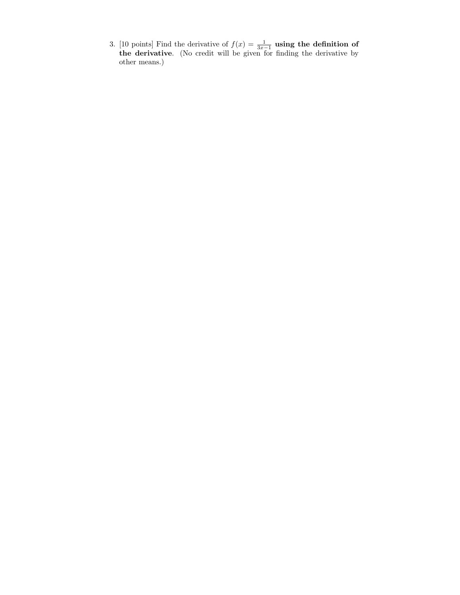3. [10 points] Find the derivative of  $f(x) = \frac{1}{3x-1}$  using the definition of the derivative. (No credit will be given for finding the derivative by other means.)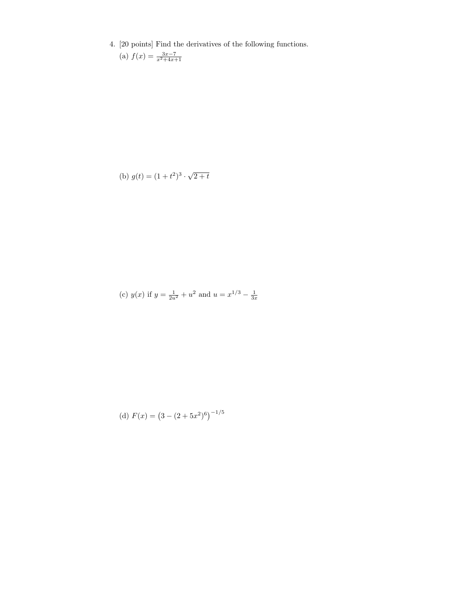4. [20 points] Find the derivatives of the following functions.

(a) 
$$
f(x) = \frac{3x-7}{x^2+4x+1}
$$

(b) 
$$
g(t) = (1 + t^2)^3 \cdot \sqrt{2 + t}
$$

(c) 
$$
y(x)
$$
 if  $y = \frac{1}{2u^2} + u^2$  and  $u = x^{1/3} - \frac{1}{3x}$ 

(d) 
$$
F(x) = (3 - (2 + 5x^2)^6)^{-1/5}
$$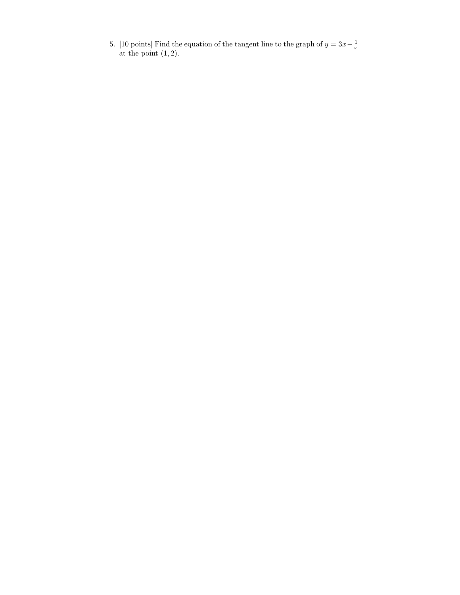5. [10 points] Find the equation of the tangent line to the graph of  $y = 3x - \frac{1}{x}$  at the point (1, 2).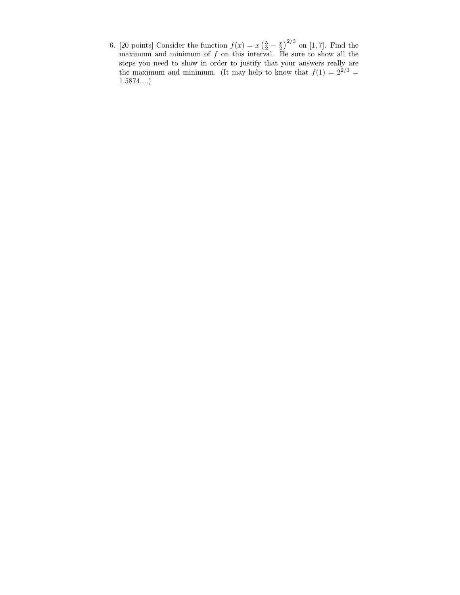6. [20 points] Consider the function  $f(x) = x\left(\frac{5}{2} - \frac{x}{2}\right)^{2/3}$  on [1, 7]. Find the maximum and minimum of  $f$  on this interval. Be sure to show all the steps you need to show in order to justify that your answers really are the maximum and minimum. (It may help to know that  $f(1) = 2^{2/3} =$ 1.5874....)